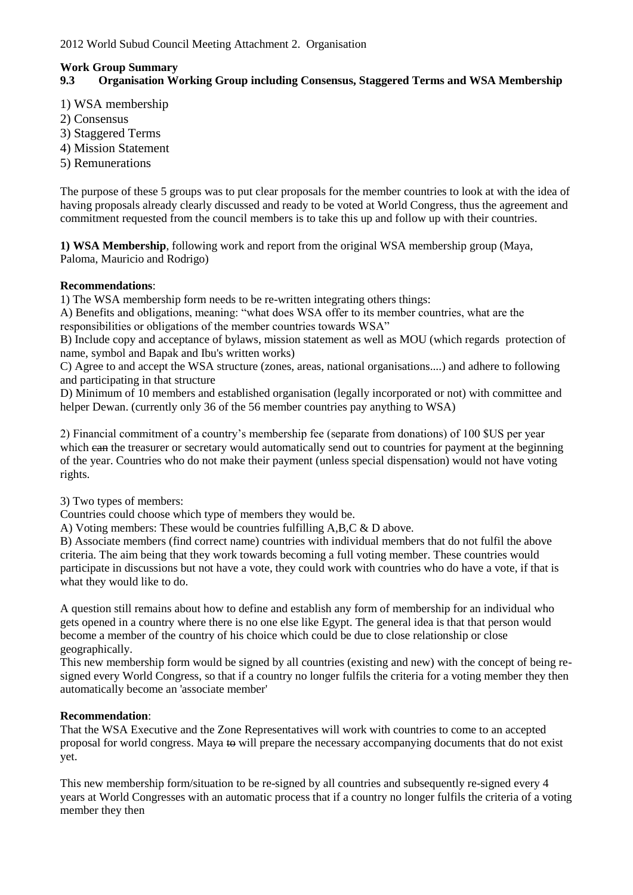### **Work Group Summary**

# **9.3 Organisation Working Group including Consensus, Staggered Terms and WSA Membership**

1) WSA membership

- 2) Consensus
- 3) Staggered Terms
- 4) Mission Statement
- 5) Remunerations

The purpose of these 5 groups was to put clear proposals for the member countries to look at with the idea of having proposals already clearly discussed and ready to be voted at World Congress, thus the agreement and commitment requested from the council members is to take this up and follow up with their countries.

**1) WSA Membership**, following work and report from the original WSA membership group (Maya, Paloma, Mauricio and Rodrigo)

# **Recommendations**:

1) The WSA membership form needs to be re-written integrating others things:

A) Benefits and obligations, meaning: "what does WSA offer to its member countries, what are the responsibilities or obligations of the member countries towards WSA"

B) Include copy and acceptance of bylaws, mission statement as well as MOU (which regards protection of name, symbol and Bapak and Ibu's written works)

C) Agree to and accept the WSA structure (zones, areas, national organisations....) and adhere to following and participating in that structure

D) Minimum of 10 members and established organisation (legally incorporated or not) with committee and helper Dewan. (currently only 36 of the 56 member countries pay anything to WSA)

2) Financial commitment of a country's membership fee (separate from donations) of 100 \$US per year which ean the treasurer or secretary would automatically send out to countries for payment at the beginning of the year. Countries who do not make their payment (unless special dispensation) would not have voting rights.

3) Two types of members:

Countries could choose which type of members they would be.

A) Voting members: These would be countries fulfilling A,B,C & D above.

B) Associate members (find correct name) countries with individual members that do not fulfil the above criteria. The aim being that they work towards becoming a full voting member. These countries would participate in discussions but not have a vote, they could work with countries who do have a vote, if that is what they would like to do.

A question still remains about how to define and establish any form of membership for an individual who gets opened in a country where there is no one else like Egypt. The general idea is that that person would become a member of the country of his choice which could be due to close relationship or close geographically.

This new membership form would be signed by all countries (existing and new) with the concept of being resigned every World Congress, so that if a country no longer fulfils the criteria for a voting member they then automatically become an 'associate member'

# **Recommendation**:

That the WSA Executive and the Zone Representatives will work with countries to come to an accepted proposal for world congress. Maya to will prepare the necessary accompanying documents that do not exist yet.

This new membership form/situation to be re-signed by all countries and subsequently re-signed every 4 years at World Congresses with an automatic process that if a country no longer fulfils the criteria of a voting member they then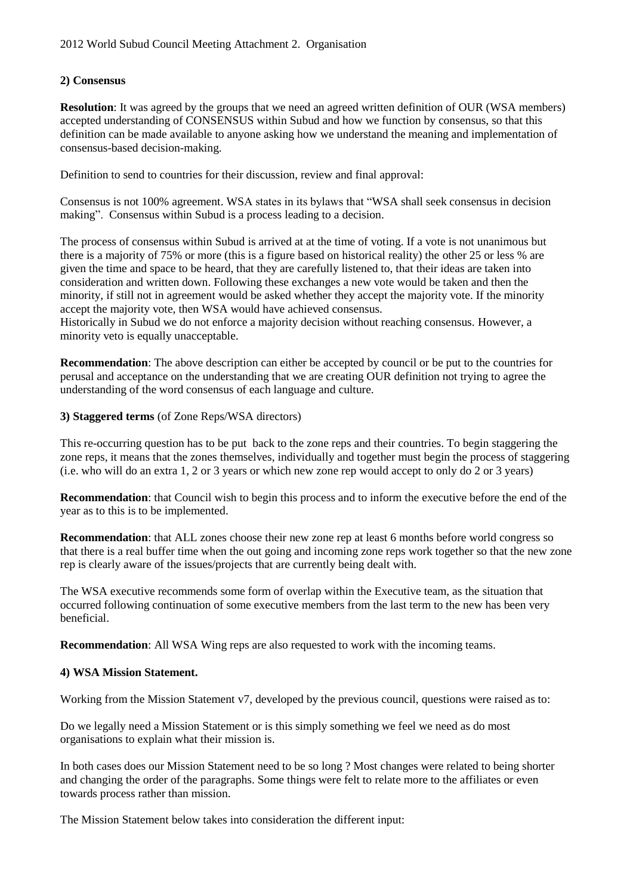### **2) Consensus**

**Resolution:** It was agreed by the groups that we need an agreed written definition of OUR (WSA members) accepted understanding of CONSENSUS within Subud and how we function by consensus, so that this definition can be made available to anyone asking how we understand the meaning and implementation of consensus-based decision-making.

Definition to send to countries for their discussion, review and final approval:

Consensus is not 100% agreement. WSA states in its bylaws that "WSA shall seek consensus in decision making". Consensus within Subud is a process leading to a decision.

The process of consensus within Subud is arrived at at the time of voting. If a vote is not unanimous but there is a majority of 75% or more (this is a figure based on historical reality) the other 25 or less % are given the time and space to be heard, that they are carefully listened to, that their ideas are taken into consideration and written down. Following these exchanges a new vote would be taken and then the minority, if still not in agreement would be asked whether they accept the majority vote. If the minority accept the majority vote, then WSA would have achieved consensus.

Historically in Subud we do not enforce a majority decision without reaching consensus. However, a minority veto is equally unacceptable.

**Recommendation**: The above description can either be accepted by council or be put to the countries for perusal and acceptance on the understanding that we are creating OUR definition not trying to agree the understanding of the word consensus of each language and culture.

#### **3) Staggered terms** (of Zone Reps/WSA directors)

This re-occurring question has to be put back to the zone reps and their countries. To begin staggering the zone reps, it means that the zones themselves, individually and together must begin the process of staggering (i.e. who will do an extra 1, 2 or 3 years or which new zone rep would accept to only do 2 or 3 years)

**Recommendation**: that Council wish to begin this process and to inform the executive before the end of the year as to this is to be implemented.

**Recommendation**: that ALL zones choose their new zone rep at least 6 months before world congress so that there is a real buffer time when the out going and incoming zone reps work together so that the new zone rep is clearly aware of the issues/projects that are currently being dealt with.

The WSA executive recommends some form of overlap within the Executive team, as the situation that occurred following continuation of some executive members from the last term to the new has been very beneficial.

**Recommendation:** All WSA Wing reps are also requested to work with the incoming teams.

# **4) WSA Mission Statement.**

Working from the Mission Statement v7, developed by the previous council, questions were raised as to:

Do we legally need a Mission Statement or is this simply something we feel we need as do most organisations to explain what their mission is.

In both cases does our Mission Statement need to be so long ? Most changes were related to being shorter and changing the order of the paragraphs. Some things were felt to relate more to the affiliates or even towards process rather than mission.

The Mission Statement below takes into consideration the different input: